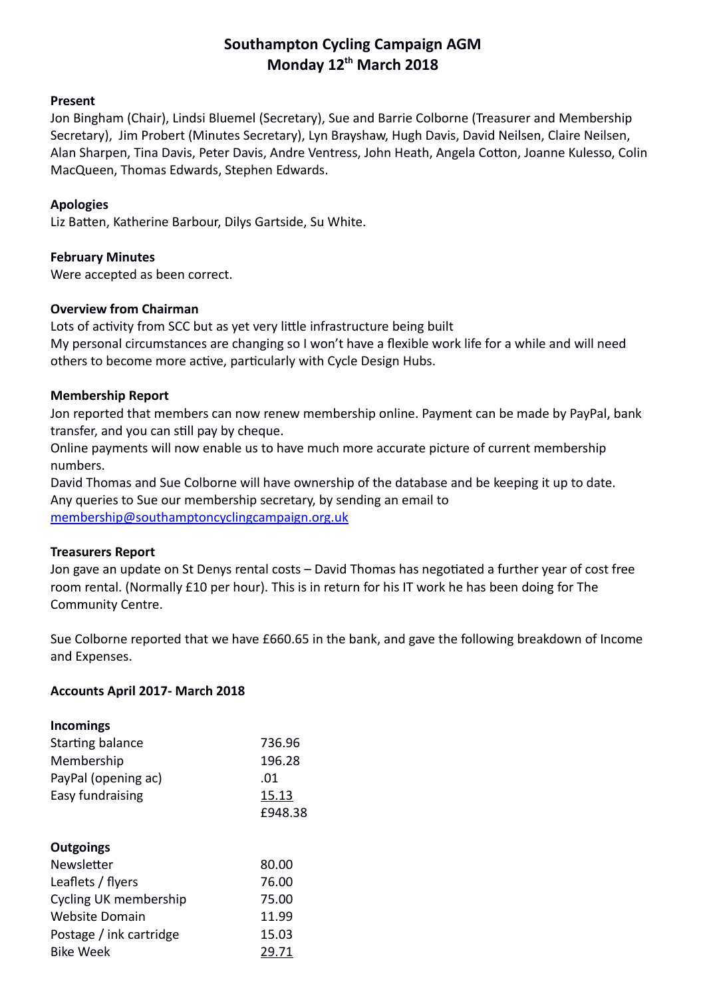# **Southampton Cycling Campaign AGM Monday 12th March 2018**

#### **Present**

Jon Bingham (Chair), Lindsi Bluemel (Secretary), Sue and Barrie Colborne (Treasurer and Membership Secretary), Jim Probert (Minutes Secretary), Lyn Brayshaw, Hugh Davis, David Neilsen, Claire Neilsen, Alan Sharpen, Tina Davis, Peter Davis, Andre Ventress, John Heath, Angela Cotton, Joanne Kulesso, Colin MacQueen, Thomas Edwards, Stephen Edwards.

#### **Apologies**

Liz Batten, Katherine Barbour, Dilys Gartside, Su White.

#### **February Minutes**

Were accepted as been correct.

#### **Overview from Chairman**

Lots of activity from SCC but as yet very little infrastructure being built My personal circumstances are changing so I won't have a flexible work life for a while and will need others to become more active, particularly with Cycle Design Hubs.

### **Membership Report**

Jon reported that members can now renew membership online. Payment can be made by PayPal, bank transfer, and you can still pay by cheque.

Online payments will now enable us to have much more accurate picture of current membership numbers.

David Thomas and Sue Colborne will have ownership of the database and be keeping it up to date. Any queries to Sue our membership secretary, by sending an email to [membership@southamptoncyclingcampaign.org.uk](mailto:membership@southamptoncyclingcampaign.org.uk)

#### **Treasurers Report**

Jon gave an update on St Denys rental costs – David Thomas has negotiated a further year of cost free room rental. (Normally £10 per hour). This is in return for his IT work he has been doing for The Community Centre.

Sue Colborne reported that we have £660.65 in the bank, and gave the following breakdown of Income and Expenses.

#### **Accounts April 2017- March 2018**

| <b>Incomings</b>        |         |
|-------------------------|---------|
| Starting balance        | 736.96  |
| Membership              | 196.28  |
| PayPal (opening ac)     | .01     |
| Easy fundraising        | 15.13   |
|                         | £948.38 |
| <b>Outgoings</b>        |         |
| Newsletter              | 80.00   |
| Leaflets / flyers       | 76.00   |
| Cycling UK membership   | 75.00   |
| Website Domain          | 11.99   |
| Postage / ink cartridge | 15.03   |
| Bike Week               | 29.71   |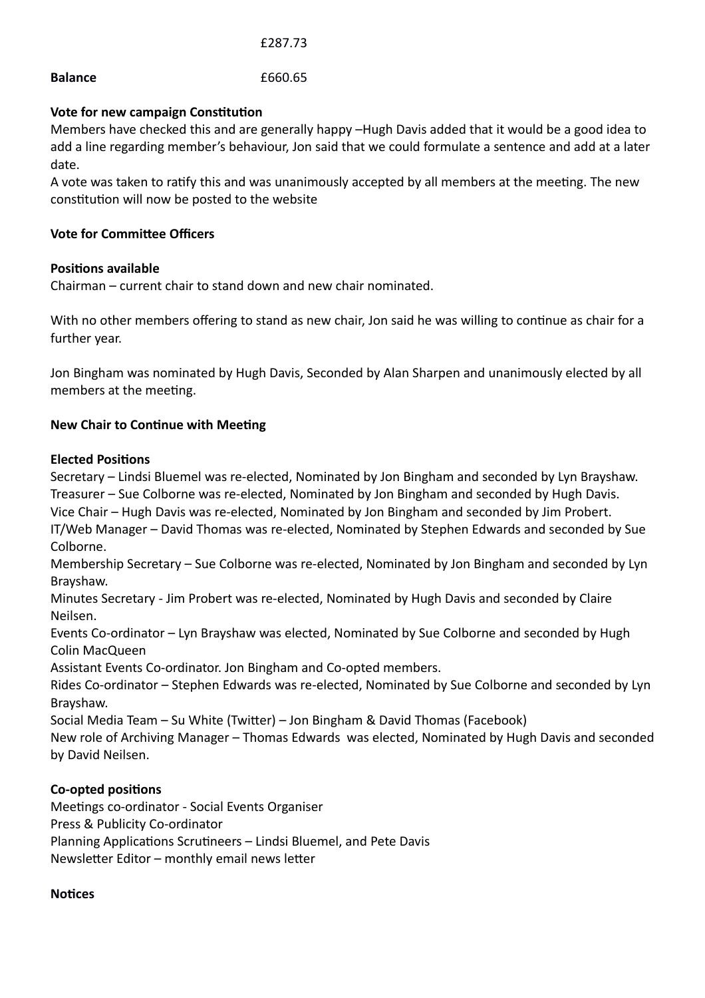#### £287.73

# **Balance**  $65$

## **Vote for new campaign Constitution**

Members have checked this and are generally happy –Hugh Davis added that it would be a good idea to add a line regarding member's behaviour, Jon said that we could formulate a sentence and add at a later date.

A vote was taken to ratify this and was unanimously accepted by all members at the meeting. The new constitution will now be posted to the website

## **Vote for Committee Officers**

### **Positions available**

Chairman – current chair to stand down and new chair nominated.

With no other members offering to stand as new chair, Jon said he was willing to continue as chair for a further year.

Jon Bingham was nominated by Hugh Davis, Seconded by Alan Sharpen and unanimously elected by all members at the meeting.

## **New Chair to Continue with Meeting**

#### **Elected Positions**

Secretary – Lindsi Bluemel was re-elected, Nominated by Jon Bingham and seconded by Lyn Brayshaw. Treasurer – Sue Colborne was re-elected, Nominated by Jon Bingham and seconded by Hugh Davis. Vice Chair – Hugh Davis was re-elected, Nominated by Jon Bingham and seconded by Jim Probert. IT/Web Manager – David Thomas was re-elected, Nominated by Stephen Edwards and seconded by Sue Colborne.

Membership Secretary – Sue Colborne was re-elected, Nominated by Jon Bingham and seconded by Lyn Brayshaw.

Minutes Secretary - Jim Probert was re-elected, Nominated by Hugh Davis and seconded by Claire Neilsen.

Events Co-ordinator – Lyn Brayshaw was elected, Nominated by Sue Colborne and seconded by Hugh Colin MacQueen

Assistant Events Co-ordinator. Jon Bingham and Co-opted members.

Rides Co-ordinator – Stephen Edwards was re-elected, Nominated by Sue Colborne and seconded by Lyn Brayshaw.

Social Media Team – Su White (Twitter) – Jon Bingham & David Thomas (Facebook)

New role of Archiving Manager – Thomas Edwards was elected, Nominated by Hugh Davis and seconded by David Neilsen.

## **Co-opted positions**

Meetings co-ordinator - Social Events Organiser Press & Publicity Co-ordinator Planning Applications Scrutineers – Lindsi Bluemel, and Pete Davis Newsletter Editor – monthly email news letter

#### **Notices**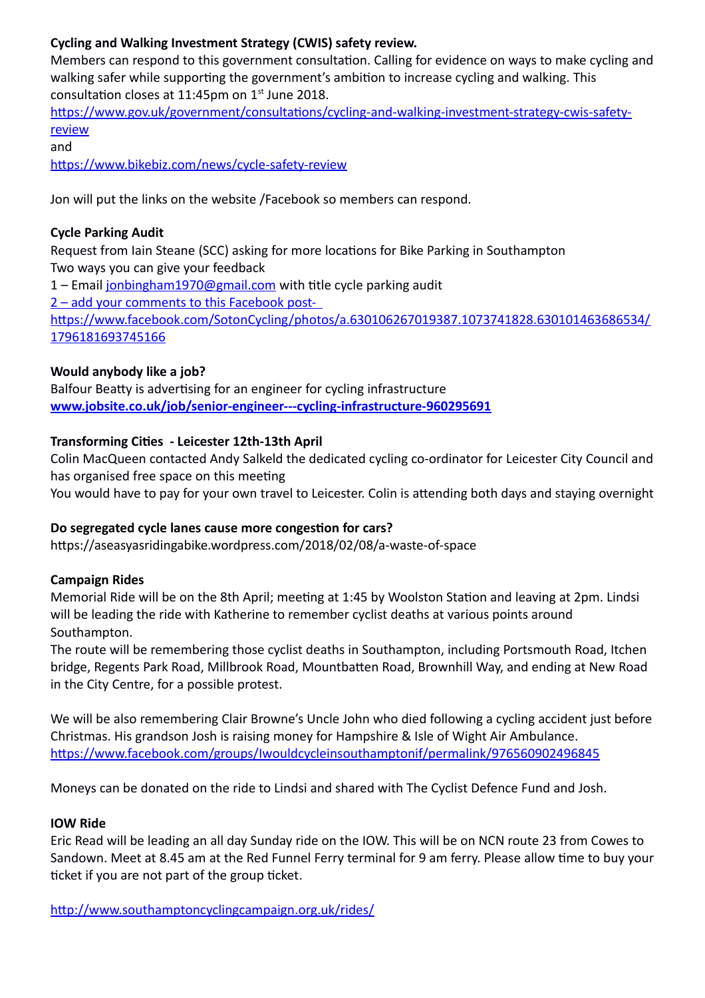## **Cycling and Walking Investment Strategy (CWIS) safety review.**

Members can respond to this government consultation. Calling for evidence on ways to make cycling and walking safer while supporting the government's ambition to increase cycling and walking. This consultation closes at 11:45pm on  $1<sup>st</sup>$  June 2018.

[https://www.gov.uk/government/consultations/cycling-and-walking-investment-strategy-cwis-safety](https://www.gov.uk/government/consultations/cycling-and-walking-investment-strategy-cwis-safety-review)[review](https://www.gov.uk/government/consultations/cycling-and-walking-investment-strategy-cwis-safety-review)

and

<https://www.bikebiz.com/news/cycle-safety-review>

Jon will put the links on the website /Facebook so members can respond.

## **Cycle Parking Audit**

Request from Iain Steane (SCC) asking for more locations for Bike Parking in Southampton Two ways you can give your feedback

1 – Email [jonbingham1970@gmail.com](mailto:jonbingham1970@gmail.com) with title cycle parking audit

2 – add your comments to this Facebook post-

[https://www.facebook.com/SotonCycling/photos/a.630106267019387.1073741828.630101463686534/](https://www.facebook.com/SotonCycling/photos/a.630106267019387.1073741828.630101463686534/1796181693745166) [1796181693745166](https://www.facebook.com/SotonCycling/photos/a.630106267019387.1073741828.630101463686534/1796181693745166)

## **Would anybody like a job?**

Balfour Beatty is advertising for an engineer for cycling infrastructure **[www.jobsite.co.uk/job/senior-engineer---cycling-infrastructure-960295691](http://www.jobsite.co.uk/job/senior-engineer---cycling-infrastructure-960295691)**

## **Transforming Cities - Leicester 12th-13th April**

Colin MacQueen contacted Andy Salkeld the dedicated cycling co-ordinator for Leicester City Council and has organised free space on this meeting

You would have to pay for your own travel to Leicester. Colin is attending both days and staying overnight

## **Do segregated cycle lanes cause more congestion for cars?**

<https://aseasyasridingabike.wordpress.com/2018/02/08/a-waste-of-space>

## **Campaign Rides**

Memorial Ride will be on the 8th April; meeting at 1:45 by Woolston Station and leaving at 2pm. Lindsi will be leading the ride with Katherine to remember cyclist deaths at various points around Southampton.

The route will be remembering those cyclist deaths in Southampton, including Portsmouth Road, Itchen bridge, Regents Park Road, Millbrook Road, Mountbatten Road, Brownhill Way, and ending at New Road in the City Centre, for a possible protest.

We will be also remembering Clair Browne's Uncle John who died following a cycling accident just before Christmas. His grandson Josh is raising money for Hampshire & Isle of Wight Air Ambulance. <https://www.facebook.com/groups/Iwouldcycleinsouthamptonif/permalink/976560902496845>

Moneys can be donated on the ride to Lindsi and shared with The Cyclist Defence Fund and Josh.

## **IOW Ride**

Eric Read will be leading an all day Sunday ride on the IOW. This will be on NCN route 23 from Cowes to Sandown. Meet at 8.45 am at the Red Funnel Ferry terminal for 9 am ferry. Please allow time to buy your ticket if you are not part of the group ticket.

<http://www.southamptoncyclingcampaign.org.uk/rides/>